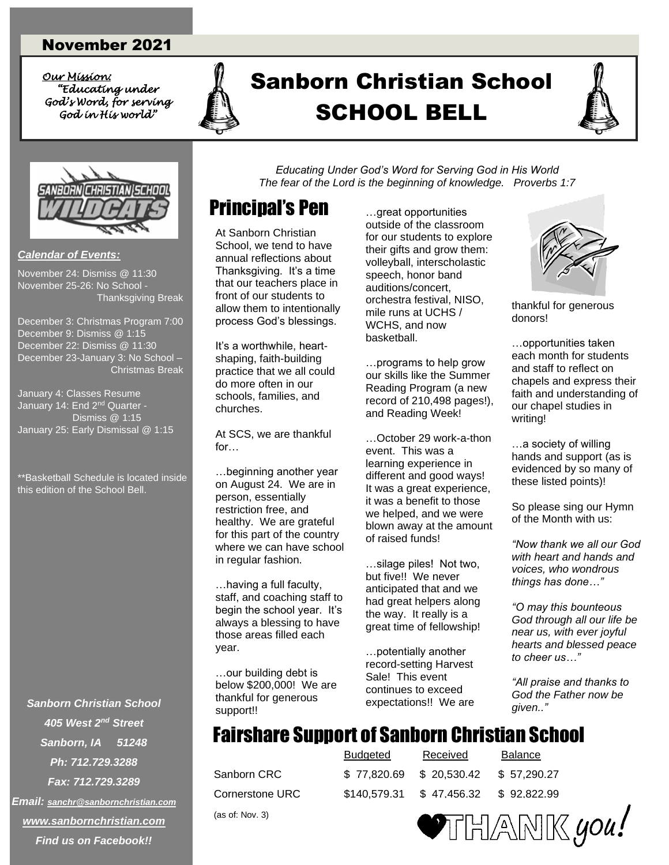## November 2021

*Our Mission: Our Mission: "Educating under God's Word, for serving God in His world"* 



# *<u>"King under</u>* A Sanborn Christian School SCHOOL BELL SCHOOL BELL





*Calendar of Events:* November 24: Dismiss @ 11:30 November 25-26: No School - Thanksgiving Break

December 3: Christmas Program 7:00 December 9: Dismiss @ 1:15 December 22: Dismiss @ 11:30 December 23-January 3: No School – Christmas Break

January 4: Classes Resume January 14: End 2<sup>nd</sup> Quarter -Dismiss @ 1:15 January 25: Early Dismissal @ 1:15

\*\*Basketball Schedule is located inside this edition of the School Bell.

*Sanborn Christian School 405 West 2nd Street Sanborn, IA 51248 Ph: 712.729.3288 Fax: 712.729.3289 Email: [sanchr@sanbornchristian.com](mailto:sanchr@sanbornchristian.com) [www.sanbornchristian.com](http://www.sanbornchristian.com/) Find us on Facebook!!*

*Educating Under God's Word for Serving God in His World The fear of the Lord is the beginning of knowledge. Proverbs 1:7*

# Principal's Pen

At Sanborn Christian School, we tend to have annual reflections about Thanksgiving. It's a time that our teachers place in front of our students to allow them to intentionally process God's blessings.

It's a worthwhile, heartshaping, faith-building practice that we all could do more often in our schools, families, and churches.

At SCS, we are thankful for…

…beginning another year on August 24. We are in person, essentially restriction free, and healthy. We are grateful for this part of the country where we can have school in regular fashion.

…having a full faculty, staff, and coaching staff to begin the school year. It's always a blessing to have those areas filled each year.

…our building debt is below \$200,000! We are thankful for generous support!!

…great opportunities outside of the classroom for our students to explore their gifts and grow them: volleyball, interscholastic speech, honor band auditions/concert, orchestra festival, NISO, mile runs at UCHS / WCHS, and now basketball.

…programs to help grow our skills like the Summer Reading Program (a new record of 210,498 pages!), and Reading Week!

…October 29 work-a-thon event. This was a learning experience in different and good ways! It was a great experience, it was a benefit to those we helped, and we were blown away at the amount of raised funds!

…silage piles! Not two, but five!! We never anticipated that and we had great helpers along the way. It really is a great time of fellowship!

…potentially another record-setting Harvest Sale! This event continues to exceed expectations!! We are



thankful for generous donors!

…opportunities taken each month for students and staff to reflect on chapels and express their faith and understanding of our chapel studies in writing!

…a society of willing hands and support (as is evidenced by so many of these listed points)!

So please sing our Hymn of the Month with us:

*"Now thank we all our God with heart and hands and voices, who wondrous things has done…"*

*"O may this bounteous God through all our life be near us, with ever joyful hearts and blessed peace to cheer us…"*

*"All praise and thanks to God the Father now be given.."*

# Fairshare Support of Sanborn Christian School

(as of: Nov. 3)

|                 | <b>Budgeted</b> | Received                             | Balance     |
|-----------------|-----------------|--------------------------------------|-------------|
| Sanborn CRC     |                 | \$77.820.69 \$20.530.42              | \$57.290.27 |
| Cornerstone URC |                 | \$140,579.31 \$47,456.32 \$92,822.99 |             |

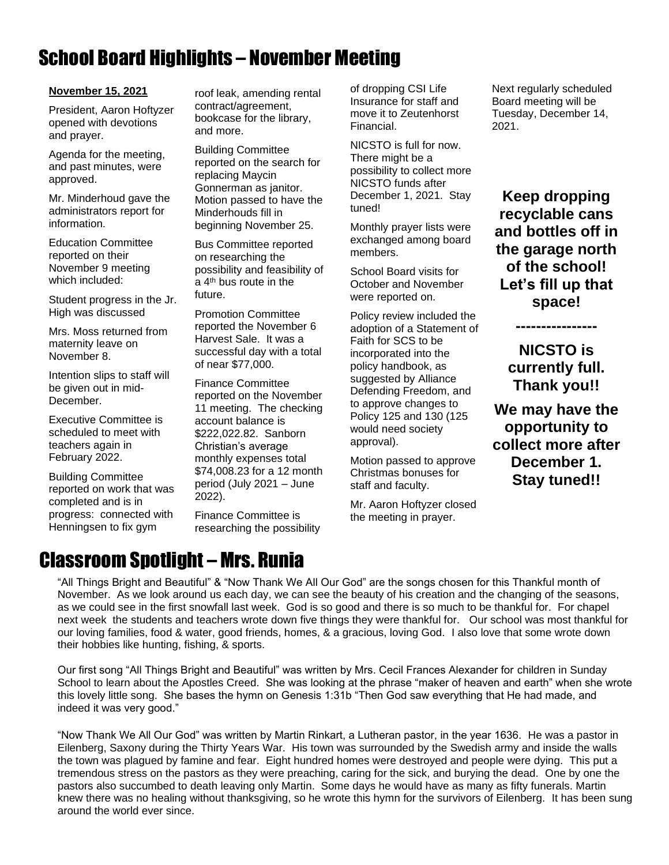# School Board Highlights – November Meeting

## **November 15, 2021**

President, Aaron Hoftyzer opened with devotions and prayer.

Agenda for the meeting, and past minutes, were approved.

Mr. Minderhoud gave the administrators report for information.

Education Committee reported on their November 9 meeting which included:

Student progress in the Jr. High was discussed

Mrs. Moss returned from maternity leave on November 8.

Intention slips to staff will be given out in mid-December.

Executive Committee is scheduled to meet with teachers again in February 2022.

Building Committee reported on work that was completed and is in progress: connected with Henningsen to fix gym

roof leak, amending rental contract/agreement, bookcase for the library, and more.

Building Committee reported on the search for replacing Maycin Gonnerman as janitor. Motion passed to have the Minderhouds fill in beginning November 25.

Bus Committee reported on researching the possibility and feasibility of a 4th bus route in the future.

Promotion Committee reported the November 6 Harvest Sale. It was a successful day with a total of near \$77,000.

Finance Committee reported on the November 11 meeting. The checking account balance is \$222,022.82. Sanborn Christian's average monthly expenses total \$74,008.23 for a 12 month period (July 2021 – June 2022).

Finance Committee is researching the possibility

# Classroom Spotlight – Mrs. Runia

of dropping CSI Life Insurance for staff and move it to Zeutenhorst Financial.

NICSTO is full for now. There might be a possibility to collect more NICSTO funds after December 1, 2021. Stay tuned!

Monthly prayer lists were exchanged among board members.

School Board visits for October and November were reported on.

Policy review included the adoption of a Statement of Faith for SCS to be incorporated into the policy handbook, as suggested by Alliance Defending Freedom, and to approve changes to Policy 125 and 130 (125 would need society approval).

Motion passed to approve Christmas bonuses for staff and faculty.

Mr. Aaron Hoftyzer closed the meeting in prayer.

Next regularly scheduled Board meeting will be Tuesday, December 14, 2021.

**Keep dropping recyclable cans and bottles off in the garage north of the school! Let's fill up that space!**

**NICSTO is currently full. Thank you!!** 

**----------------**

**We may have the opportunity to collect more after December 1. Stay tuned!!**

"All Things Bright and Beautiful" & "Now Thank We All Our God" are the songs chosen for this Thankful month of November. As we look around us each day, we can see the beauty of his creation and the changing of the seasons, as we could see in the first snowfall last week. God is so good and there is so much to be thankful for. For chapel next week the students and teachers wrote down five things they were thankful for. Our school was most thankful for our loving families, food & water, good friends, homes, & a gracious, loving God. I also love that some wrote down their hobbies like hunting, fishing, & sports.

Our first song "All Things Bright and Beautiful" was written by Mrs. Cecil Frances Alexander for children in Sunday School to learn about the Apostles Creed. She was looking at the phrase "maker of heaven and earth" when she wrote this lovely little song. She bases the hymn on Genesis 1:31b "Then God saw everything that He had made, and indeed it was very good."

"Now Thank We All Our God" was written by Martin Rinkart, a Lutheran pastor, in the year 1636. He was a pastor in Eilenberg, Saxony during the Thirty Years War. His town was surrounded by the Swedish army and inside the walls the town was plagued by famine and fear. Eight hundred homes were destroyed and people were dying. This put a tremendous stress on the pastors as they were preaching, caring for the sick, and burying the dead. One by one the pastors also succumbed to death leaving only Martin. Some days he would have as many as fifty funerals. Martin knew there was no healing without thanksgiving, so he wrote this hymn for the survivors of Eilenberg. It has been sung around the world ever since.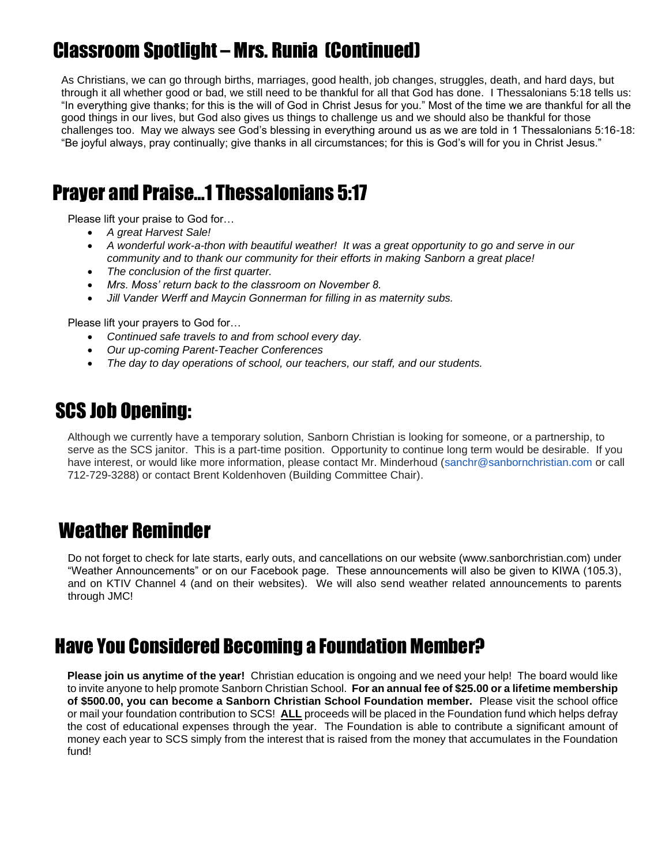# Classroom Spotlight – Mrs. Runia (Continued)

As Christians, we can go through births, marriages, good health, job changes, struggles, death, and hard days, but through it all whether good or bad, we still need to be thankful for all that God has done. I Thessalonians 5:18 tells us: "In everything give thanks; for this is the will of God in Christ Jesus for you." Most of the time we are thankful for all the good things in our lives, but God also gives us things to challenge us and we should also be thankful for those challenges too. May we always see God's blessing in everything around us as we are told in 1 Thessalonians 5:16-18: "Be joyful always, pray continually; give thanks in all circumstances; for this is God's will for you in Christ Jesus."

# Prayer and Praise…1 Thessalonians 5:17

Please lift your praise to God for…

- *A great Harvest Sale!*
- *A wonderful work-a-thon with beautiful weather! It was a great opportunity to go and serve in our community and to thank our community for their efforts in making Sanborn a great place!*
- *The conclusion of the first quarter.*
- *Mrs. Moss' return back to the classroom on November 8.*
- *Jill Vander Werff and Maycin Gonnerman for filling in as maternity subs.*

Please lift your prayers to God for…

- *Continued safe travels to and from school every day.*
- *Our up-coming Parent-Teacher Conferences*
- *The day to day operations of school, our teachers, our staff, and our students.*

# SCS Job Opening:

Although we currently have a temporary solution, Sanborn Christian is looking for someone, or a partnership, to serve as the SCS janitor. This is a part-time position. Opportunity to continue long term would be desirable. If you have interest, or would like more information, please contact Mr. Minderhoud (sanchr@sanbornchristian.com or call 712-729-3288) or contact Brent Koldenhoven (Building Committee Chair).

# Weather Reminder

Do not forget to check for late starts, early outs, and cancellations on our website (www.sanborchristian.com) under "Weather Announcements" or on our Facebook page. These announcements will also be given to KIWA (105.3), and on KTIV Channel 4 (and on their websites). We will also send weather related announcements to parents through JMC!

# Have You Considered Becoming a Foundation Member?

**Please join us anytime of the year!** Christian education is ongoing and we need your help! The board would like to invite anyone to help promote Sanborn Christian School. **For an annual fee of \$25.00 or a lifetime membership of \$500.00, you can become a Sanborn Christian School Foundation member.** Please visit the school office or mail your foundation contribution to SCS! **ALL** proceeds will be placed in the Foundation fund which helps defray the cost of educational expenses through the year. The Foundation is able to contribute a significant amount of money each year to SCS simply from the interest that is raised from the money that accumulates in the Foundation fund!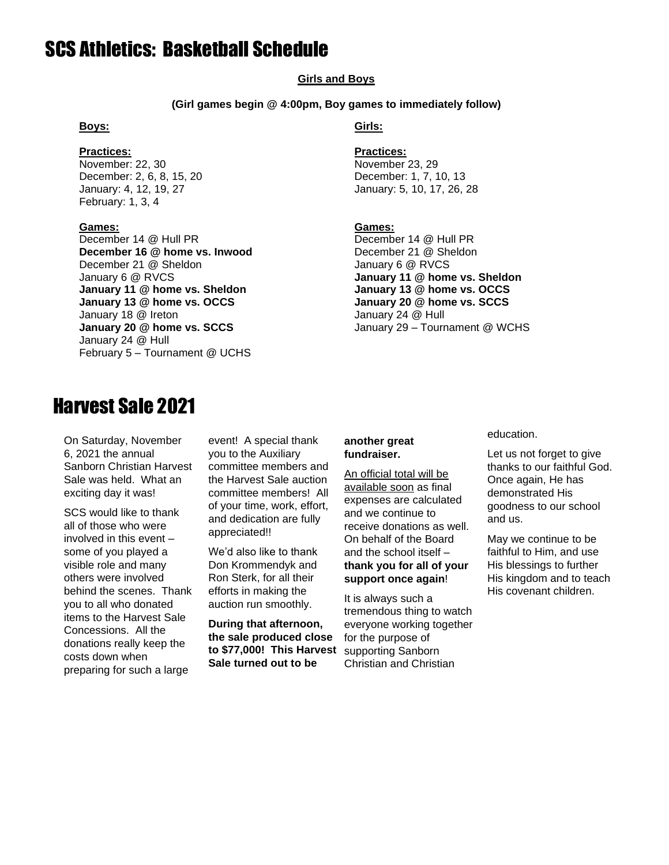# SCS Athletics: Basketball Schedule

## **Girls and Boys**

## **(Girl games begin @ 4:00pm, Boy games to immediately follow)**

November: 22, 30 November 23, 29 December: 2, 6, 8, 15, 20 December: 1, 7, 10, 13 January: 4, 12, 19, 27 January: 5, 10, 17, 26, 28 February: 1, 3, 4

### **Games: Games:**

December 14 @ Hull PR December 14 @ Hull PR **December 16 @ home vs. Inwood** December 21 @ Sheldon December 21 @ Sheldon January 6 @ RVCS January 6 @ RVCS **January 11 @ home vs. Sheldon January 11 @ home vs. Sheldon January 13 @ home vs. OCCS January 13 @ home vs. OCCS January 20 @ home vs. SCCS** January 18 @ Ireton January 24 @ Hull **January 20 @ home vs. SCCS** January 29 – Tournament @ WCHS January 24 @ Hull February 5 – Tournament @ UCHS

## **Boys:****Girls:**

### **Practices: Practices:**

## Harvest Sale 2021

On Saturday, November 6, 2021 the annual Sanborn Christian Harvest Sale was held. What an exciting day it was!

SCS would like to thank all of those who were involved in this event – some of you played a visible role and many others were involved behind the scenes. Thank you to all who donated items to the Harvest Sale Concessions. All the donations really keep the costs down when preparing for such a large

event! A special thank you to the Auxiliary committee members and the Harvest Sale auction committee members! All of your time, work, effort, and dedication are fully appreciated!!

We'd also like to thank Don Krommendyk and Ron Sterk, for all their efforts in making the auction run smoothly.

**During that afternoon, the sale produced close to \$77,000! This Harvest Sale turned out to be** 

## **another great fundraiser.**

An official total will be available soon as final expenses are calculated and we continue to receive donations as well. On behalf of the Board and the school itself – **thank you for all of your support once again**!

It is always such a tremendous thing to watch everyone working together for the purpose of supporting Sanborn Christian and Christian

education.

Let us not forget to give thanks to our faithful God. Once again, He has demonstrated His goodness to our school and us.

May we continue to be faithful to Him, and use His blessings to further His kingdom and to teach His covenant children.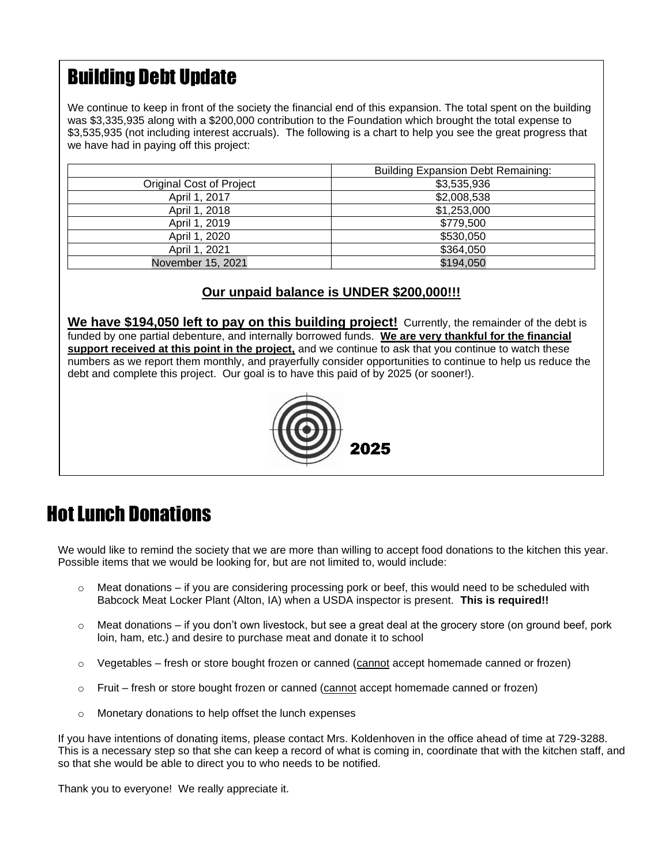# Building Debt Update

We continue to keep in front of the society the financial end of this expansion. The total spent on the building was \$3,335,935 along with a \$200,000 contribution to the Foundation which brought the total expense to \$3,535,935 (not including interest accruals). The following is a chart to help you see the great progress that we have had in paying off this project:

|                          | <b>Building Expansion Debt Remaining:</b> |  |
|--------------------------|-------------------------------------------|--|
| Original Cost of Project | \$3,535,936                               |  |
| April 1, 2017            | \$2,008,538                               |  |
| April 1, 2018            | \$1,253,000                               |  |
| April 1, 2019            | \$779,500                                 |  |
| April 1, 2020            | \$530,050                                 |  |
| April 1, 2021            | \$364,050                                 |  |
| November 15, 2021        | \$194,050                                 |  |

## **Our unpaid balance is UNDER \$200,000!!!**

**We have \$194,050 left to pay on this building project!** Currently, the remainder of the debt is funded by one partial debenture, and internally borrowed funds. **We are very thankful for the financial support received at this point in the project,** and we continue to ask that you continue to watch these numbers as we report them monthly, and prayerfully consider opportunities to continue to help us reduce the debt and complete this project. Our goal is to have this paid of by 2025 (or sooner!).



# Hot Lunch Donations

We would like to remind the society that we are more than willing to accept food donations to the kitchen this year. Possible items that we would be looking for, but are not limited to, would include:

- $\circ$  Meat donations if you are considering processing pork or beef, this would need to be scheduled with Babcock Meat Locker Plant (Alton, IA) when a USDA inspector is present. **This is required!!**
- o Meat donations if you don't own livestock, but see a great deal at the grocery store (on ground beef, pork loin, ham, etc.) and desire to purchase meat and donate it to school
- $\circ$  Vegetables fresh or store bought frozen or canned (cannot accept homemade canned or frozen)
- o Fruit fresh or store bought frozen or canned (cannot accept homemade canned or frozen)
- o Monetary donations to help offset the lunch expenses

If you have intentions of donating items, please contact Mrs. Koldenhoven in the office ahead of time at 729-3288. This is a necessary step so that she can keep a record of what is coming in, coordinate that with the kitchen staff, and so that she would be able to direct you to who needs to be notified.

Thank you to everyone! We really appreciate it.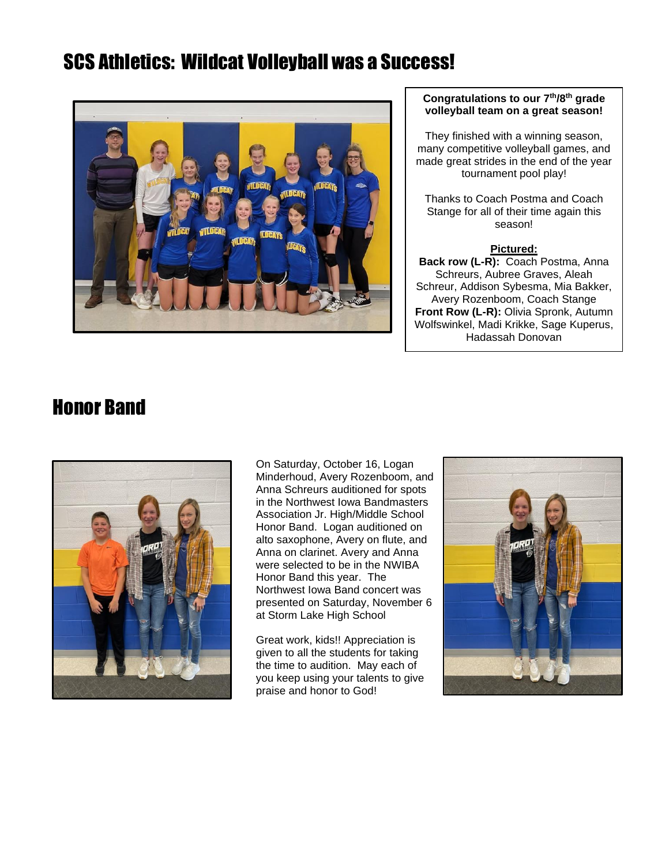# SCS Athletics: Wildcat Volleyball was a Success!



## **Congratulations to our 7th/8th grade volleyball team on a great season!**

They finished with a winning season, many competitive volleyball games, and made great strides in the end of the year tournament pool play!

Thanks to Coach Postma and Coach Stange for all of their time again this season!

## **Pictured:**

**Back row (L-R): Coach Postma, Anna** Schreurs, Aubree Graves, Aleah Schreur, Addison Sybesma, Mia Bakker, Avery Rozenboom, Coach Stange **Front Row (L-R):** Olivia Spronk, Autumn Wolfswinkel, Madi Krikke, Sage Kuperus, Hadassah Donovan

# Honor Band



On Saturday, October 16, Logan Minderhoud, Avery Rozenboom, and Anna Schreurs auditioned for spots in the Northwest Iowa Bandmasters Association Jr. High/Middle School Honor Band. Logan auditioned on alto saxophone, Avery on flute, and Anna on clarinet. Avery and Anna were selected to be in the NWIBA Honor Band this year. The Northwest Iowa Band concert was presented on Saturday, November 6 at Storm Lake High School

Great work, kids!! Appreciation is given to all the students for taking the time to audition. May each of you keep using your talents to give praise and honor to God!

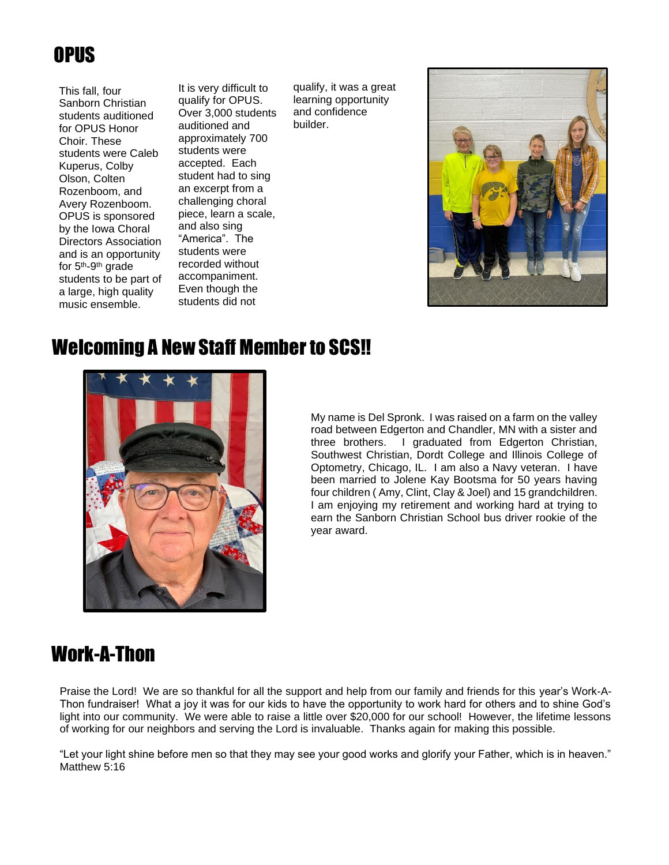# OPUS

This fall, four Sanborn Christian students auditioned for OPUS Honor Choir. These students were Caleb Kuperus, Colby Olson, Colten Rozenboom, and Avery Rozenboom. OPUS is sponsored by the Iowa Choral Directors Association and is an opportunity for 5<sup>th</sup>-9<sup>th</sup> grade students to be part of a large, high quality music ensemble.

It is very difficult to qualify for OPUS. Over 3,000 students auditioned and approximately 700 students were accepted. Each student had to sing an excerpt from a challenging choral piece, learn a scale, and also sing "America". The students were recorded without accompaniment. Even though the students did not

qualify, it was a great learning opportunity and confidence builder.



# Welcoming A New Staff Member to SCS!!



My name is Del Spronk. I was raised on a farm on the valley road between Edgerton and Chandler, MN with a sister and three brothers. I graduated from Edgerton Christian, Southwest Christian, Dordt College and Illinois College of Optometry, Chicago, IL. I am also a Navy veteran. I have been married to Jolene Kay Bootsma for 50 years having four children ( Amy, Clint, Clay & Joel) and 15 grandchildren. I am enjoying my retirement and working hard at trying to earn the Sanborn Christian School bus driver rookie of the year award.

# Work-A-Thon

Praise the Lord! We are so thankful for all the support and help from our family and friends for this year's Work-A-Thon fundraiser! What a joy it was for our kids to have the opportunity to work hard for others and to shine God's light into our community. We were able to raise a little over \$20,000 for our school! However, the lifetime lessons of working for our neighbors and serving the Lord is invaluable. Thanks again for making this possible.

"Let your light shine before men so that they may see your good works and glorify your Father, which is in heaven." Matthew 5:16